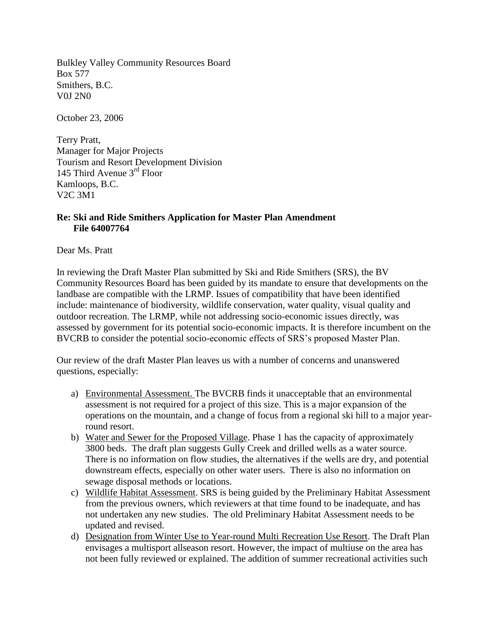Bulkley Valley Community Resources Board Box 577 Smithers, B.C. V0J 2N0

October 23, 2006

Terry Pratt, Manager for Major Projects Tourism and Resort Development Division 145 Third Avenue 3<sup>rd</sup> Floor Kamloops, B.C. V2C 3M1

## **Re: Ski and Ride Smithers Application for Master Plan Amendment File 64007764**

Dear Ms. Pratt

In reviewing the Draft Master Plan submitted by Ski and Ride Smithers (SRS), the BV Community Resources Board has been guided by its mandate to ensure that developments on the landbase are compatible with the LRMP. Issues of compatibility that have been identified include: maintenance of biodiversity, wildlife conservation, water quality, visual quality and outdoor recreation. The LRMP, while not addressing socio-economic issues directly, was assessed by government for its potential socio-economic impacts. It is therefore incumbent on the BVCRB to consider the potential socio-economic effects of SRS's proposed Master Plan.

Our review of the draft Master Plan leaves us with a number of concerns and unanswered questions, especially:

- a) Environmental Assessment. The BVCRB finds it unacceptable that an environmental assessment is not required for a project of this size. This is a major expansion of the operations on the mountain, and a change of focus from a regional ski hill to a major yearround resort.
- b) Water and Sewer for the Proposed Village. Phase 1 has the capacity of approximately 3800 beds. The draft plan suggests Gully Creek and drilled wells as a water source. There is no information on flow studies, the alternatives if the wells are dry, and potential downstream effects, especially on other water users. There is also no information on sewage disposal methods or locations.
- c) Wildlife Habitat Assessment. SRS is being guided by the Preliminary Habitat Assessment from the previous owners, which reviewers at that time found to be inadequate, and has not undertaken any new studies. The old Preliminary Habitat Assessment needs to be updated and revised.
- d) Designation from Winter Use to Year-round Multi Recreation Use Resort. The Draft Plan envisages a multisport allseason resort. However, the impact of multiuse on the area has not been fully reviewed or explained. The addition of summer recreational activities such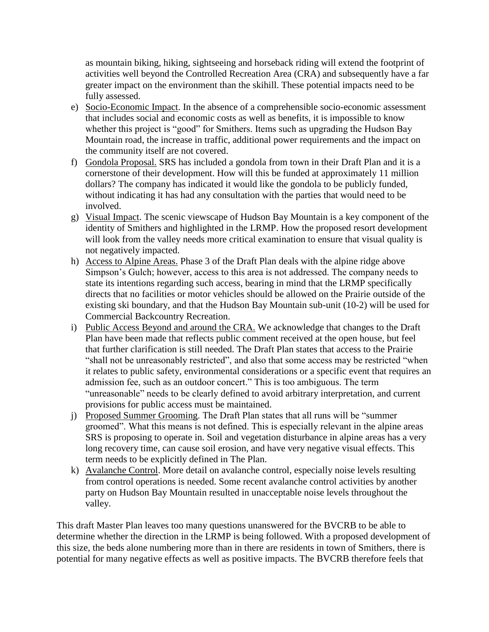as mountain biking, hiking, sightseeing and horseback riding will extend the footprint of activities well beyond the Controlled Recreation Area (CRA) and subsequently have a far greater impact on the environment than the skihill. These potential impacts need to be fully assessed.

- e) Socio-Economic Impact. In the absence of a comprehensible socio-economic assessment that includes social and economic costs as well as benefits, it is impossible to know whether this project is "good" for Smithers. Items such as upgrading the Hudson Bay Mountain road, the increase in traffic, additional power requirements and the impact on the community itself are not covered.
- f) Gondola Proposal. SRS has included a gondola from town in their Draft Plan and it is a cornerstone of their development. How will this be funded at approximately 11 million dollars? The company has indicated it would like the gondola to be publicly funded, without indicating it has had any consultation with the parties that would need to be involved.
- g) Visual Impact. The scenic viewscape of Hudson Bay Mountain is a key component of the identity of Smithers and highlighted in the LRMP. How the proposed resort development will look from the valley needs more critical examination to ensure that visual quality is not negatively impacted.
- h) Access to Alpine Areas. Phase 3 of the Draft Plan deals with the alpine ridge above Simpson's Gulch; however, access to this area is not addressed. The company needs to state its intentions regarding such access, bearing in mind that the LRMP specifically directs that no facilities or motor vehicles should be allowed on the Prairie outside of the existing ski boundary, and that the Hudson Bay Mountain sub-unit (10-2) will be used for Commercial Backcountry Recreation.
- i) Public Access Beyond and around the CRA. We acknowledge that changes to the Draft Plan have been made that reflects public comment received at the open house, but feel that further clarification is still needed. The Draft Plan states that access to the Prairie "shall not be unreasonably restricted", and also that some access may be restricted "when it relates to public safety, environmental considerations or a specific event that requires an admission fee, such as an outdoor concert." This is too ambiguous. The term "unreasonable" needs to be clearly defined to avoid arbitrary interpretation, and current provisions for public access must be maintained.
- j) Proposed Summer Grooming. The Draft Plan states that all runs will be "summer groomed". What this means is not defined. This is especially relevant in the alpine areas SRS is proposing to operate in. Soil and vegetation disturbance in alpine areas has a very long recovery time, can cause soil erosion, and have very negative visual effects. This term needs to be explicitly defined in The Plan.
- k) Avalanche Control. More detail on avalanche control, especially noise levels resulting from control operations is needed. Some recent avalanche control activities by another party on Hudson Bay Mountain resulted in unacceptable noise levels throughout the valley.

This draft Master Plan leaves too many questions unanswered for the BVCRB to be able to determine whether the direction in the LRMP is being followed. With a proposed development of this size, the beds alone numbering more than in there are residents in town of Smithers, there is potential for many negative effects as well as positive impacts. The BVCRB therefore feels that